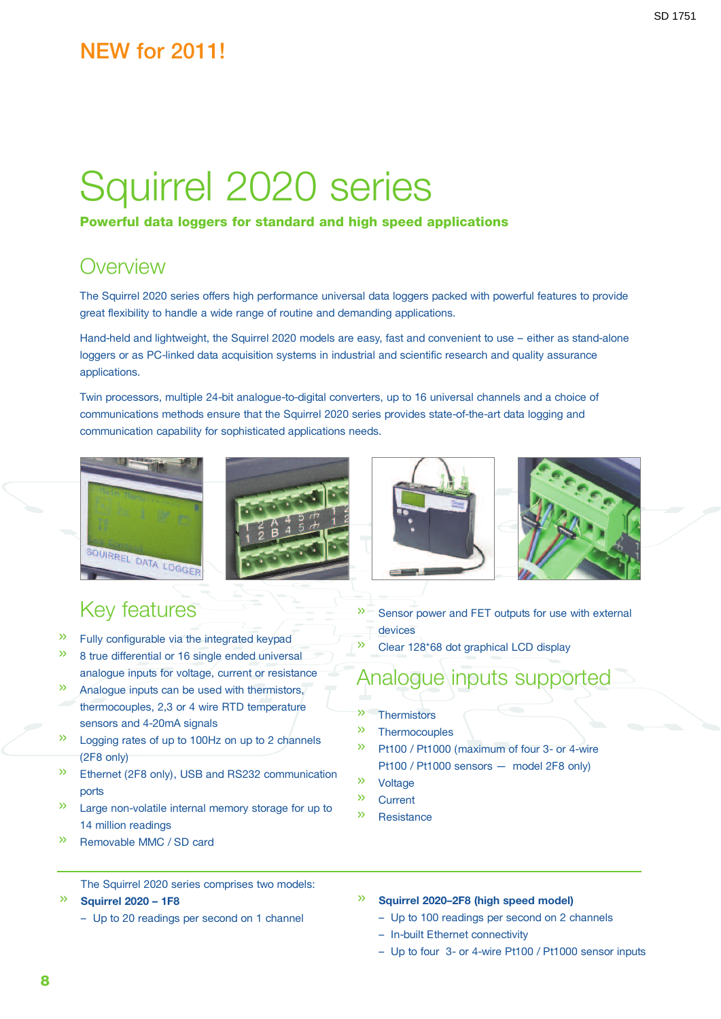### **NEW for 2011!**

# Squirrel 2020 series

#### **Powerful data loggers for standard and high speed applications**

### **Overview**

The Squirrel 2020 series offers high performance universal data loggers packed with powerful features to provide great flexibility to handle a wide range of routine and demanding applications.

Hand-held and lightweight, the Squirrel 2020 models are easy, fast and convenient to use – either as stand-alone loggers or as PC-linked data acquisition systems in industrial and scientific research and quality assurance applications.

Twin processors, multiple 24-bit analogue-to-digital converters, up to 16 universal channels and a choice of communications methods ensure that the Squirrel 2020 series provides state-of-the-art data logging and communication capability for sophisticated applications needs.





### Key features

- » Fully configurable via the integrated keypad
- » <sup>8</sup> true differential or <sup>16</sup> single ended universal analogue inputs for voltage, current or resistance
- » Analogue inputs can be used with thermistors, thermocouples, 2,3 or 4 wire RTD temperature sensors and 4-20mA signals
- » Logging rates of up to 100Hz on up to <sup>2</sup> channels (2F8 only)
- » Ethernet (2F8 only), USB and RS232 communication ports
- » Large non-volatile internal memory storage for up to 14 million readings
- » Removable MMC / SD card



- $\gg$  Sensor power and FET outputs for use with external devices
	- » Clear 128\*68 dot graphical LCD display

### Analogue inputs supported

- » Thermistors
- » Thermocouples
- » Pt100 / Pt1000 (maximum of four 3- or 4-wire Pt100 / Pt1000 sensors — model 2F8 only)
- » Voltage
- » Current
- » Resistance

The Squirrel 2020 series comprises two models:

- » **Squirrel <sup>2020</sup> – 1F8**
	- Up to 20 readings per second on 1 channel

#### » **Squirrel 2020–2F8 (high speed model)**

- Up to 100 readings per second on 2 channels
- In-built Ethernet connectivity
- Up to four 3- or 4-wire Pt100 / Pt1000 sensor inputs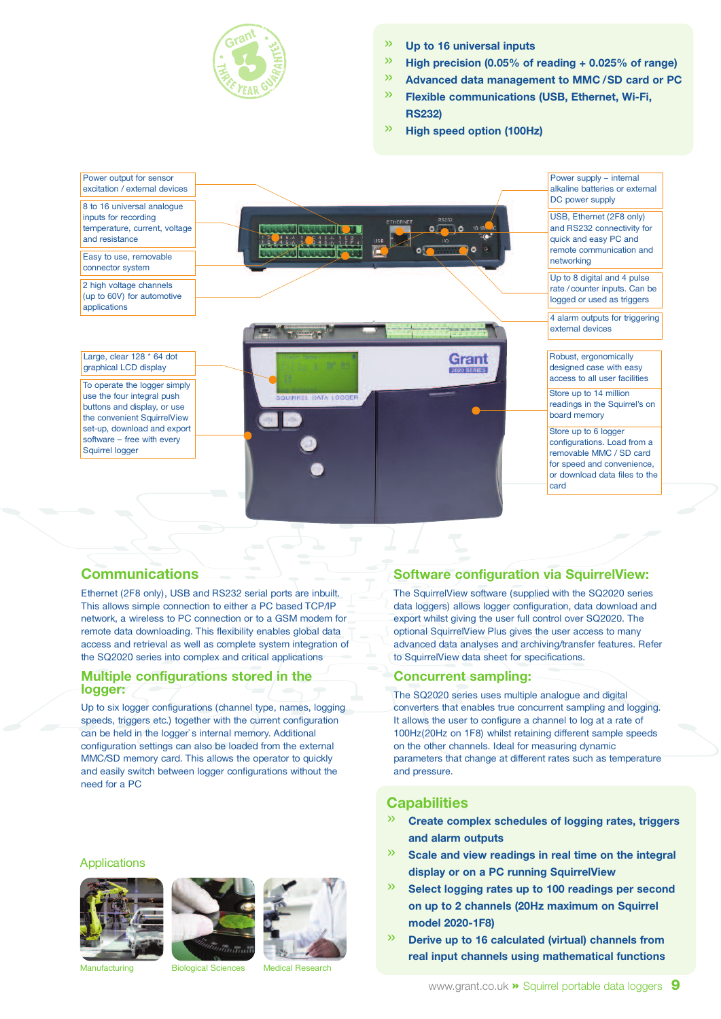

#### » **Up to <sup>16</sup> universal inputs**

- » **High precision (0.05% of reading <sup>+</sup> 0.025% of range)**
- » **Advanced data management to MMC /SD card or PC**
- » **Flexible communications (USB, Ethernet, Wi-Fi, RS232)**
- » **High speed option (100Hz)**

#### Power output for sensor excitation / external devices 8 to 16 universal analogue inputs for recording temperature, current, voltage and resistance Easy to use, removable connector system 2 high voltage channels (up to 60V) for automotive applications Large, clear 128 \* 64 dot Grant graphical LCD display To operate the logger simply use the four integral push buttons and display, or use the convenient SquirrelView set-up, download and export software – free with every Squirrel logger

#### Power supply – internal alkaline batteries or external DC power supply

USB, Ethernet (2F8 only) and RS232 connectivity for quick and easy PC and remote communication and networking

Up to 8 digital and 4 pulse rate / counter inputs. Can be logged or used as triggers

4 alarm outputs for triggering external devices

Robust, ergonomically designed case with easy access to all user facilities

Store up to 14 million readings in the Squirrel's on board memory

Store up to 6 logger configurations. Load from a removable MMC / SD card for speed and convenience or download data files to the card

### **Communications**

Ethernet (2F8 only), USB and RS232 serial ports are inbuilt. This allows simple connection to either a PC based TCP/IP network, a wireless to PC connection or to a GSM modem for remote data downloading. This flexibility enables global data access and retrieval as well as complete system integration of the SQ2020 series into complex and critical applications

#### **Multiple configurations stored in the logger:**

Up to six logger configurations (channel type, names, logging speeds, triggers etc.) together with the current configuration can be held in the logger`s internal memory. Additional configuration settings can also be loaded from the external MMC/SD memory card. This allows the operator to quickly and easily switch between logger configurations without the need for a PC

#### **Applications**





**Biological Sciences** 

**Software configuration via SquirrelView:**

The SquirrelView software (supplied with the SQ2020 series data loggers) allows logger configuration, data download and export whilst giving the user full control over SQ2020. The optional SquirrelView Plus gives the user access to many advanced data analyses and archiving/transfer features. Refer to SquirrelView data sheet for specifications.

#### **Concurrent sampling:**

The SQ2020 series uses multiple analogue and digital converters that enables true concurrent sampling and logging. It allows the user to configure a channel to log at a rate of 100Hz(20Hz on 1F8) whilst retaining different sample speeds on the other channels. Ideal for measuring dynamic parameters that change at different rates such as temperature and pressure.

#### **Capabilities**

- » **Create complex schedules of logging rates, triggers and alarm outputs**
- » **Scale and view readings in real time on the integral display or on a PC running SquirrelView**
- » **Select logging rates up to <sup>100</sup> readings per second on up to 2 channels (20Hz maximum on Squirrel model 2020-1F8)**
- » **Derive up to <sup>16</sup> calculated (virtual) channels from real input channels using mathematical functions**